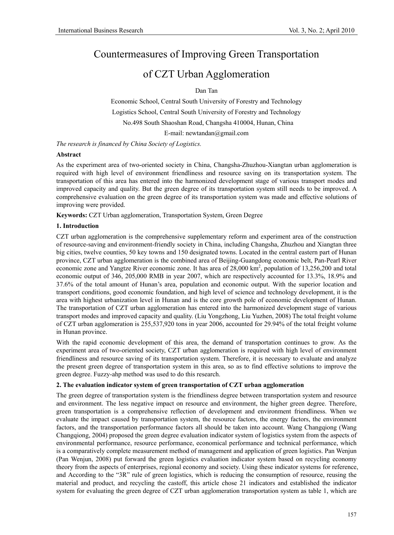# Countermeasures of Improving Green Transportation

# of CZT Urban Agglomeration

Dan Tan

Economic School, Central South University of Forestry and Technology Logistics School, Central South University of Forestry and Technology No.498 South Shaoshan Road, Changsha 410004, Hunan, China

E-mail: newtandan@gmail.com

*The research is financed by China Society of Logistics.* 

## **Abstract**

As the experiment area of two-oriented society in China, Changsha-Zhuzhou-Xiangtan urban agglomeration is required with high level of environment friendliness and resource saving on its transportation system. The transportation of this area has entered into the harmonized development stage of various transport modes and improved capacity and quality. But the green degree of its transportation system still needs to be improved. A comprehensive evaluation on the green degree of its transportation system was made and effective solutions of improving were provided.

**Keywords:** CZT Urban agglomeration, Transportation System, Green Degree

# **1. Introduction**

CZT urban agglomeration is the comprehensive supplementary reform and experiment area of the construction of resource-saving and environment-friendly society in China, including Changsha, Zhuzhou and Xiangtan three big cities, twelve counties, 50 key towns and 150 designated towns. Located in the central eastern part of Hunan province, CZT urban agglomeration is the combined area of Beijing-Guangdong economic belt, Pan-Pearl River economic zone and Yangtze River economic zone. It has area of 28,000 km<sup>2</sup>, population of 13,256,200 and total economic output of 346, 205,000 RMB in year 2007, which are respectively accounted for 13.3%, 18.9% and 37.6% of the total amount of Hunan's area, population and economic output. With the superior location and transport conditions, good economic foundation, and high level of science and technology development, it is the area with highest urbanization level in Hunan and is the core growth pole of economic development of Hunan. The transportation of CZT urban agglomeration has entered into the harmonized development stage of various transport modes and improved capacity and quality. (Liu Yongzhong, Liu Yuzhen, 2008) The total freight volume of CZT urban agglomeration is 255,537,920 tons in year 2006, accounted for 29.94% of the total freight volume in Hunan province.

With the rapid economic development of this area, the demand of transportation continues to grow. As the experiment area of two-oriented society, CZT urban agglomeration is required with high level of environment friendliness and resource saving of its transportation system. Therefore, it is necessary to evaluate and analyze the present green degree of transportation system in this area, so as to find effective solutions to improve the green degree. Fuzzy-ahp method was used to do this research.

#### **2. The evaluation indicator system of green transportation of CZT urban agglomeration**

The green degree of transportation system is the friendliness degree between transportation system and resource and environment. The less negative impact on resource and environment, the higher green degree. Therefore, green transportation is a comprehensive reflection of development and environment friendliness. When we evaluate the impact caused by transportation system, the resource factors, the energy factors, the environment factors, and the transportation performance factors all should be taken into account. Wang Changqiong (Wang Changqiong, 2004) proposed the green degree evaluation indicator system of logistics system from the aspects of environmental performance, resource performance, economical performance and technical performance, which is a comparatively complete measurement method of management and application of green logistics. Pan Wenjun (Pan Wenjun, 2008) put forward the green logistics evaluation indicator system based on recycling economy theory from the aspects of enterprises, regional economy and society. Using these indicator systems for reference, and According to the "3R" rule of green logistics, which is reducing the consumption of resource, reusing the material and product, and recycling the castoff, this article chose 21 indicators and established the indicator system for evaluating the green degree of CZT urban agglomeration transportation system as table 1, which are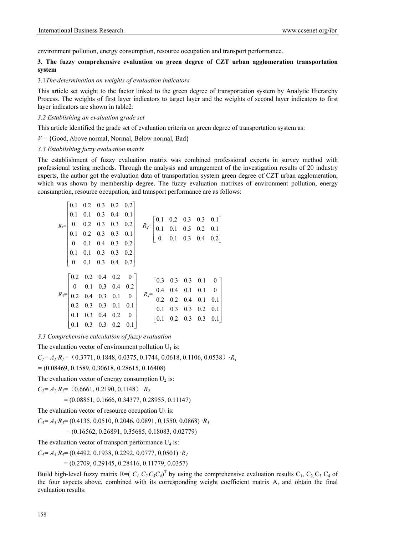environment pollution, energy consumption, resource occupation and transport performance.

# **3. The fuzzy comprehensive evaluation on green degree of CZT urban agglomeration transportation system**

#### 3.1*The determination on weights of evaluation indicators*

This article set weight to the factor linked to the green degree of transportation system by Analytic Hierarchy Process. The weights of first layer indicators to target layer and the weights of second layer indicators to first layer indicators are shown in table2:

### *3.2 Establishing an evaluation grade set*

This article identified the grade set of evaluation criteria on green degree of transportation system as:

 $V = \{Good, Above normal, Normal, Below normal, Bad\}$ 

## *3.3 Establishing fuzzy evaluation matrix*

The establishment of fuzzy evaluation matrix was combined professional experts in survey method with professional testing methods. Through the analysis and arrangement of the investigation results of 20 industry experts, the author got the evaluation data of transportation system green degree of CZT urban agglomeration, which was shown by membership degree. The fuzzy evaluation matrixes of environment pollution, energy consumption, resource occupation, and transport performance are as follows:

|  |  |                                                                                                                                                                                                                                                 | $R_2 = \begin{bmatrix} 0.1 & 0.2 & 0.3 & 0.3 & 0.1 \\ 0.1 & 0.1 & 0.5 & 0.2 & 0.1 \\ 0 & 0.1 & 0.3 & 0.4 & 0.2 \end{bmatrix}$ |  |  |                                                                                                                                                                                                                                                                                                                |
|--|--|-------------------------------------------------------------------------------------------------------------------------------------------------------------------------------------------------------------------------------------------------|-------------------------------------------------------------------------------------------------------------------------------|--|--|----------------------------------------------------------------------------------------------------------------------------------------------------------------------------------------------------------------------------------------------------------------------------------------------------------------|
|  |  |                                                                                                                                                                                                                                                 |                                                                                                                               |  |  |                                                                                                                                                                                                                                                                                                                |
|  |  |                                                                                                                                                                                                                                                 |                                                                                                                               |  |  |                                                                                                                                                                                                                                                                                                                |
|  |  |                                                                                                                                                                                                                                                 |                                                                                                                               |  |  |                                                                                                                                                                                                                                                                                                                |
|  |  | $R_i{=}\begin{bmatrix} 0.1 & 0.2 & 0.3 & 0.2 & 0.2\\ 0.1 & 0.1 & 0.3 & 0.4 & 0.1\\ 0 & 0.2 & 0.3 & 0.3 & 0.2\\ 0.1 & 0.2 & 0.3 & 0.3 & 0.1\\ 0 & 0.1 & 0.4 & 0.3 & 0.2\\ 0.1 & 0.1 & 0.3 & 0.3 & 0.2\\ 0 & 0.1 & 0.3 & 0.4 & 0.2 \end{bmatrix}$ |                                                                                                                               |  |  |                                                                                                                                                                                                                                                                                                                |
|  |  |                                                                                                                                                                                                                                                 |                                                                                                                               |  |  |                                                                                                                                                                                                                                                                                                                |
|  |  |                                                                                                                                                                                                                                                 |                                                                                                                               |  |  |                                                                                                                                                                                                                                                                                                                |
|  |  |                                                                                                                                                                                                                                                 |                                                                                                                               |  |  |                                                                                                                                                                                                                                                                                                                |
|  |  |                                                                                                                                                                                                                                                 |                                                                                                                               |  |  |                                                                                                                                                                                                                                                                                                                |
|  |  |                                                                                                                                                                                                                                                 |                                                                                                                               |  |  |                                                                                                                                                                                                                                                                                                                |
|  |  |                                                                                                                                                                                                                                                 |                                                                                                                               |  |  |                                                                                                                                                                                                                                                                                                                |
|  |  |                                                                                                                                                                                                                                                 |                                                                                                                               |  |  |                                                                                                                                                                                                                                                                                                                |
|  |  |                                                                                                                                                                                                                                                 |                                                                                                                               |  |  | $R_3=\begin{bmatrix} 0.2 & 0.2 & 0.4 & 0.2 & 0 \\ 0 & 0.1 & 0.3 & 0.4 & 0.2 \\ 0.2 & 0.4 & 0.3 & 0.1 & 0 \\ 0.2 & 0.3 & 0.3 & 0.1 & 0.1 \\ 0.1 & 0.3 & 0.4 & 0.2 & 0 \\ 0.1 & 0.3 & 0.3 & 0.2 & 0.1 \end{bmatrix} \quad R_4=\begin{bmatrix} 0.3 & 0.3 & 0.3 & 0.1 & 0 \\ 0.4 & 0.4 & 0.1 & 0.1 & 0 \\ 0.2 & 0$ |

*3.3 Comprehensive calculation of fuzzy evaluation* 

The evaluation vector of environment pollution  $U_1$  is:

 $C_1 = A_1 \cdot R_1 = (0.3771, 0.1848, 0.0375, 0.1744, 0.0618, 0.1106, 0.0538) \cdot R_1$ 

*=* (0.08469, 0.1589, 0.30618, 0.28615, 0.16408)

The evaluation vector of energy consumption  $U_2$  is:

 $C_2 = A_2 \cdot R_2 = (0.6661, 0.2190, 0.1148) \cdot R_2$ 

 $= (0.08851, 0.1666, 0.34377, 0.28955, 0.11147)$ 

The evaluation vector of resource occupation  $U_3$  is:

*C3= A3·R3*= (0.4135, 0.0510, 0.2046, 0.0891, 0.1550, 0.0868) *·R3* 

# *=* (0.16562, 0.26891, 0.35685, 0.18083, 0.02779)

The evaluation vector of transport performance  $U_4$  is:

*C4= A4·R4*= (0.4492, 0.1938, 0.2292, 0.0777, 0.0501) *·R4*

 $= (0.2709, 0.29145, 0.28416, 0.11779, 0.0357)$ 

Build high-level fuzzy matrix  $R = (C_1 C_2 C_3 C_4)^T$  by using the comprehensive evaluation results  $C_1$ ,  $C_2$ ,  $C_3$ ,  $C_4$  of the four aspects above, combined with its corresponding weight coefficient matrix A, and obtain the final evaluation results: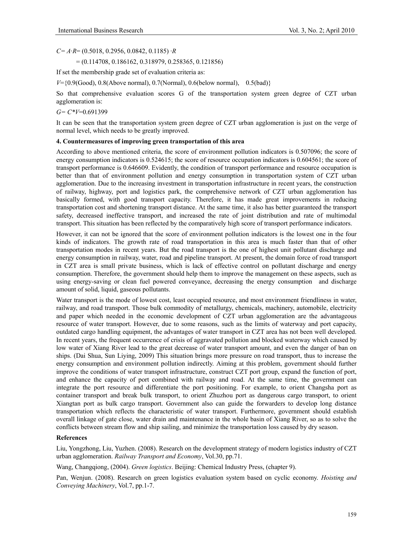*C= A*·*R*= (0.5018, 0.2956, 0.0842, 0.1185) ·*R*

= (0.114708, 0.186162, 0.318979, 0.258365, 0.121856)

If set the membership grade set of evaluation criteria as:

*V*={0.9(Good), 0.8(Above normal), 0.7(Normal), 0.6(below normal), 0.5(bad)}

So that comprehensive evaluation scores G of the transportation system green degree of CZT urban agglomeration is:

*G= C\*V*=0.691399

It can be seen that the transportation system green degree of CZT urban agglomeration is just on the verge of normal level, which needs to be greatly improved.

#### **4. Countermeasures of improving green transportation of this area**

According to above mentioned criteria, the score of environment pollution indicators is 0.507096; the score of energy consumption indicators is 0.524615; the score of resource occupation indicators is 0.604561; the score of transport performance is 0.646609. Evidently, the condition of transport performance and resource occupation is better than that of environment pollution and energy consumption in transportation system of CZT urban agglomeration. Due to the increasing investment in transportation infrastructure in recent years, the construction of railway, highway, port and logistics park, the comprehensive network of CZT urban agglomeration has basically formed, with good transport capacity. Therefore, it has made great improvements in reducing transportation cost and shortening transport distance. At the same time, it also has better guaranteed the transport safety, decreased ineffective transport, and increased the rate of joint distribution and rate of multimodal transport. This situation has been reflected by the comparatively high score of transport performance indicators.

However, it can not be ignored that the score of environment pollution indicators is the lowest one in the four kinds of indicators. The growth rate of road transportation in this area is much faster than that of other transportation modes in recent years. But the road transport is the one of highest unit pollutant discharge and energy consumption in railway, water, road and pipeline transport. At present, the domain force of road transport in CZT area is small private business, which is lack of effective control on pollutant discharge and energy consumption. Therefore, the government should help them to improve the management on these aspects, such as using energy-saving or clean fuel powered conveyance, decreasing the energy consumption and discharge amount of solid, liquid, gaseous pollutants.

Water transport is the mode of lowest cost, least occupied resource, and most environment friendliness in water, railway, and road transport. Those bulk commodity of metallurgy, chemicals, machinery, automobile, electricity and paper which needed in the economic development of CZT urban agglomeration are the advantageous resource of water transport. However, due to some reasons, such as the limits of waterway and port capacity, outdated cargo handling equipment, the advantages of water transport in CZT area has not been well developed. In recent years, the frequent occurrence of crisis of aggravated pollution and blocked waterway which caused by low water of Xiang River lead to the great decrease of water transport amount, and even the danger of ban on ships. (Dai Shua, Sun Liying, 2009) This situation brings more pressure on road transport, thus to increase the energy consumption and environment pollution indirectly. Aiming at this problem, government should further improve the conditions of water transport infrastructure, construct CZT port group, expand the function of port, and enhance the capacity of port combined with railway and road. At the same time, the government can integrate the port resource and differentiate the port positioning. For example, to orient Changsha port as container transport and break bulk transport, to orient Zhuzhou port as dangerous cargo transport, to orient Xiangtan port as bulk cargo transport. Government also can guide the forwarders to develop long distance transportation which reflects the characteristic of water transport. Furthermore, government should establish overall linkage of gate close, water drain and maintenance in the whole basin of Xiang River, so as to solve the conflicts between stream flow and ship sailing, and minimize the transportation loss caused by dry season.

#### **References**

Liu, Yongzhong, Liu, Yuzhen. (2008). Research on the development strategy of modern logistics industry of CZT urban agglomeration. *Railway Transport and Economy*, Vol.30, pp.71.

Wang, Changqiong, (2004). *Green logistics*. Beijing: Chemical Industry Press, (chapter 9).

Pan, Wenjun. (2008). Research on green logistics evaluation system based on cyclic economy. *Hoisting and Conveying Machinery*, Vol.7, pp.1-7.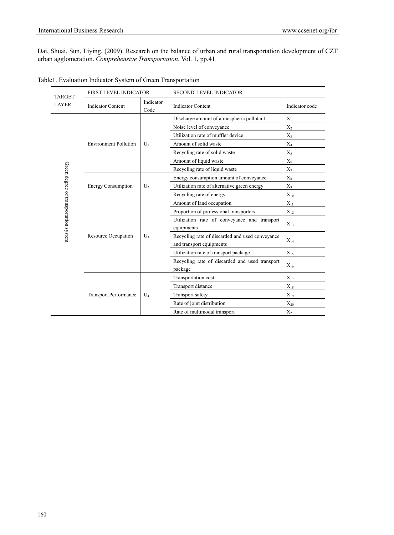Dai, Shuai, Sun, Liying, (2009). Research on the balance of urban and rural transportation development of CZT urban agglomeration. *Comprehensive Transportation*, Vol. 1, pp.41.

| <b>TARGET</b>                         | <b>FIRST-LEVEL INDICATOR</b> |                   | <b>SECOND-LEVEL INDICATOR</b>                                               |                |  |  |  |  |
|---------------------------------------|------------------------------|-------------------|-----------------------------------------------------------------------------|----------------|--|--|--|--|
| <b>LAYER</b>                          | <b>Indicator Content</b>     | Indicator<br>Code | <b>Indicator Content</b>                                                    | Indicator code |  |  |  |  |
|                                       |                              |                   | Discharge amount of atmospheric pollutant                                   | $X_1$          |  |  |  |  |
|                                       |                              |                   | Noise level of conveyance                                                   | $X_2$          |  |  |  |  |
|                                       |                              |                   | Utilization rate of muffler device                                          | $X_3$          |  |  |  |  |
|                                       | <b>Environment Pollution</b> | $U_1$             | Amount of solid waste                                                       | $X_4$          |  |  |  |  |
|                                       |                              |                   | Recycling rate of solid waste                                               | $X_5$          |  |  |  |  |
|                                       |                              |                   | Amount of liquid waste                                                      | $X_6$          |  |  |  |  |
|                                       |                              |                   | Recycling rate of liquid waste                                              | $X_7$          |  |  |  |  |
|                                       |                              |                   | Energy consumption amount of conveyance                                     | $X_8$          |  |  |  |  |
|                                       | <b>Energy Consumption</b>    | U,                | Utilization rate of alternative green energy                                | $X_{9}$        |  |  |  |  |
|                                       |                              |                   | Recycling rate of energy                                                    | $X_{10}$       |  |  |  |  |
|                                       |                              |                   | Amount of land occupation                                                   | $X_{11}$       |  |  |  |  |
| Green degree of transportation system |                              |                   | Proportion of professional transporters                                     | $X_{12}$       |  |  |  |  |
|                                       |                              |                   | Utilization rate of conveyance and transport<br>equipments                  | $X_{13}$       |  |  |  |  |
|                                       | <b>Resource Occupation</b>   | $U_3$             | Recycling rate of discarded and used conveyance<br>and transport equipments | $X_{14}$       |  |  |  |  |
|                                       |                              |                   | Utilization rate of transport package                                       | $X_{15}$       |  |  |  |  |
|                                       |                              |                   | Recycling rate of discarded and used transport<br>package                   | $X_{16}$       |  |  |  |  |
|                                       |                              |                   | Transportation cost                                                         | $X_{17}$       |  |  |  |  |
|                                       |                              |                   | Transport distance                                                          | $X_{18}$       |  |  |  |  |
|                                       | <b>Transport Performance</b> | $U_4$             | Transport safety                                                            | $X_{19}$       |  |  |  |  |
|                                       |                              |                   | Rate of joint distribution                                                  | $X_{20}$       |  |  |  |  |
|                                       |                              |                   | Rate of multimodal transport                                                | $X_{21}$       |  |  |  |  |

Table1. Evaluation Indicator System of Green Transportation